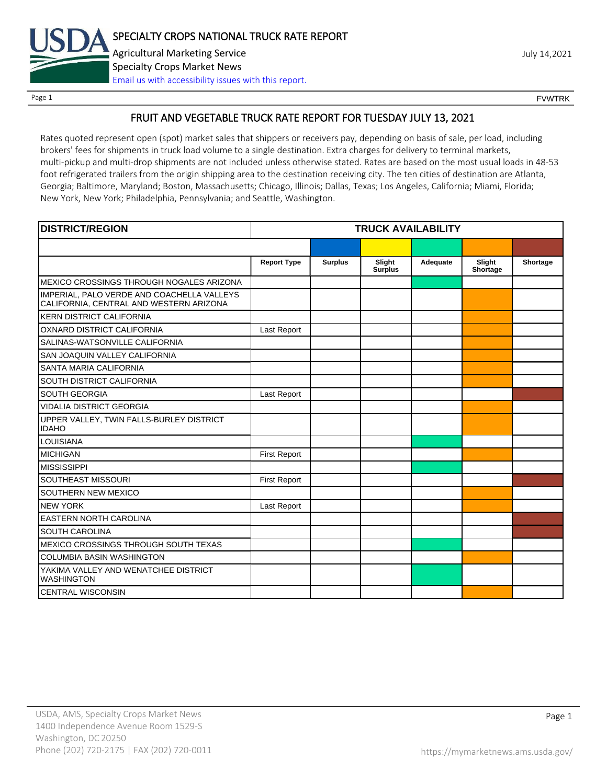

# FRUIT AND VEGETABLE TRUCK RATE REPORT FOR TUESDAY JULY 13, 2021

Rates quoted represent open (spot) market sales that shippers or receivers pay, depending on basis of sale, per load, including brokers' fees for shipments in truck load volume to a single destination. Extra charges for delivery to terminal markets, multi-pickup and multi-drop shipments are not included unless otherwise stated. Rates are based on the most usual loads in 48-53 foot refrigerated trailers from the origin shipping area to the destination receiving city. The ten cities of destination are Atlanta, Georgia; Baltimore, Maryland; Boston, Massachusetts; Chicago, Illinois; Dallas, Texas; Los Angeles, California; Miami, Florida; New York, New York; Philadelphia, Pennsylvania; and Seattle, Washington.

| <b>DISTRICT/REGION</b>                                                                | <b>TRUCK AVAILABILITY</b> |                |                          |          |                    |          |
|---------------------------------------------------------------------------------------|---------------------------|----------------|--------------------------|----------|--------------------|----------|
|                                                                                       |                           |                |                          |          |                    |          |
|                                                                                       | <b>Report Type</b>        | <b>Surplus</b> | Slight<br><b>Surplus</b> | Adequate | Slight<br>Shortage | Shortage |
| MEXICO CROSSINGS THROUGH NOGALES ARIZONA                                              |                           |                |                          |          |                    |          |
| IMPERIAL, PALO VERDE AND COACHELLA VALLEYS<br>CALIFORNIA, CENTRAL AND WESTERN ARIZONA |                           |                |                          |          |                    |          |
| <b>KERN DISTRICT CALIFORNIA</b>                                                       |                           |                |                          |          |                    |          |
| OXNARD DISTRICT CALIFORNIA                                                            | Last Report               |                |                          |          |                    |          |
| SALINAS-WATSONVILLE CALIFORNIA                                                        |                           |                |                          |          |                    |          |
| SAN JOAQUIN VALLEY CALIFORNIA                                                         |                           |                |                          |          |                    |          |
| SANTA MARIA CALIFORNIA                                                                |                           |                |                          |          |                    |          |
| SOUTH DISTRICT CALIFORNIA                                                             |                           |                |                          |          |                    |          |
| <b>SOUTH GEORGIA</b>                                                                  | Last Report               |                |                          |          |                    |          |
| <b>VIDALIA DISTRICT GEORGIA</b>                                                       |                           |                |                          |          |                    |          |
| UPPER VALLEY, TWIN FALLS-BURLEY DISTRICT<br><b>IDAHO</b>                              |                           |                |                          |          |                    |          |
| LOUISIANA                                                                             |                           |                |                          |          |                    |          |
| <b>MICHIGAN</b>                                                                       | <b>First Report</b>       |                |                          |          |                    |          |
| <b>MISSISSIPPI</b>                                                                    |                           |                |                          |          |                    |          |
| SOUTHEAST MISSOURI                                                                    | <b>First Report</b>       |                |                          |          |                    |          |
| SOUTHERN NEW MEXICO                                                                   |                           |                |                          |          |                    |          |
| <b>NEW YORK</b>                                                                       | Last Report               |                |                          |          |                    |          |
| <b>EASTERN NORTH CAROLINA</b>                                                         |                           |                |                          |          |                    |          |
| <b>SOUTH CAROLINA</b>                                                                 |                           |                |                          |          |                    |          |
| MEXICO CROSSINGS THROUGH SOUTH TEXAS                                                  |                           |                |                          |          |                    |          |
| <b>COLUMBIA BASIN WASHINGTON</b>                                                      |                           |                |                          |          |                    |          |
| YAKIMA VALLEY AND WENATCHEE DISTRICT<br><b>WASHINGTON</b>                             |                           |                |                          |          |                    |          |
| <b>CENTRAL WISCONSIN</b>                                                              |                           |                |                          |          |                    |          |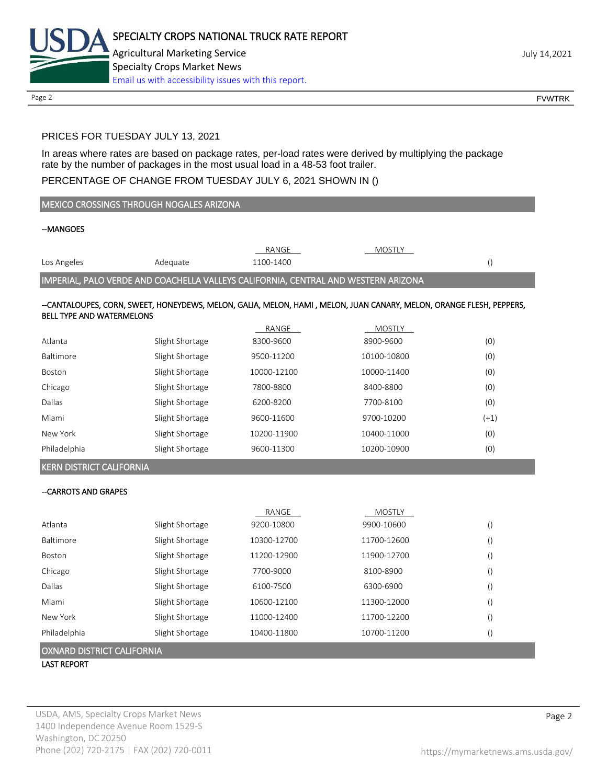

# PRICES FOR TUESDAY JULY 13, 2021

In areas where rates are based on package rates, per-load rates were derived by multiplying the package rate by the number of packages in the most usual load in a 48-53 foot trailer.

# PERCENTAGE OF CHANGE FROM TUESDAY JULY 6, 2021 SHOWN IN ()

| MEXICO CROSSINGS THROUGH NOGALES ARIZONA |                                                                                    |             |                                                                                                                     |                  |  |
|------------------------------------------|------------------------------------------------------------------------------------|-------------|---------------------------------------------------------------------------------------------------------------------|------------------|--|
| --MANGOES                                |                                                                                    |             |                                                                                                                     |                  |  |
|                                          |                                                                                    | RANGE       | <b>MOSTLY</b>                                                                                                       |                  |  |
| Los Angeles                              | Adequate                                                                           | 1100-1400   |                                                                                                                     | $\left( \right)$ |  |
|                                          | IMPERIAL, PALO VERDE AND COACHELLA VALLEYS CALIFORNIA, CENTRAL AND WESTERN ARIZONA |             |                                                                                                                     |                  |  |
| <b>BELL TYPE AND WATERMELONS</b>         |                                                                                    |             | --CANTALOUPES, CORN, SWEET, HONEYDEWS, MELON, GALIA, MELON, HAMI, MELON, JUAN CANARY, MELON, ORANGE FLESH, PEPPERS, |                  |  |
|                                          |                                                                                    | RANGE       | MOSTLY                                                                                                              |                  |  |
| Atlanta                                  | Slight Shortage                                                                    | 8300-9600   | 8900-9600                                                                                                           | (0)              |  |
| Baltimore                                | Slight Shortage                                                                    | 9500-11200  | 10100-10800                                                                                                         | (0)              |  |
| Boston                                   | Slight Shortage                                                                    | 10000-12100 | 10000-11400                                                                                                         | (0)              |  |
| Chicago                                  | Slight Shortage                                                                    | 7800-8800   | 8400-8800                                                                                                           | (0)              |  |
| Dallas                                   | Slight Shortage                                                                    | 6200-8200   | 7700-8100                                                                                                           | (0)              |  |
| Miami                                    | Slight Shortage                                                                    | 9600-11600  | 9700-10200                                                                                                          | $(+1)$           |  |
| New York                                 | Slight Shortage                                                                    | 10200-11900 | 10400-11000                                                                                                         | (0)              |  |
| Philadelphia                             | Slight Shortage                                                                    | 9600-11300  | 10200-10900                                                                                                         | (0)              |  |
| <b>KERN DISTRICT CALIFORNIA</b>          |                                                                                    |             |                                                                                                                     |                  |  |
| --CARROTS AND GRAPES                     |                                                                                    |             |                                                                                                                     |                  |  |
|                                          |                                                                                    | RANGE       | <b>MOSTLY</b>                                                                                                       |                  |  |
| Atlanta                                  | Slight Shortage                                                                    | 9200-10800  | 9900-10600                                                                                                          | $\left( \right)$ |  |
| Baltimore                                | Slight Shortage                                                                    | 10300-12700 | 11700-12600                                                                                                         | $\left( \right)$ |  |
| Boston                                   | Slight Shortage                                                                    | 11200-12900 | 11900-12700                                                                                                         | $\left( \right)$ |  |
| Chicago                                  | Slight Shortage                                                                    | 7700-9000   | 8100-8900                                                                                                           | $\left(\right)$  |  |
| Dallas                                   | Slight Shortage                                                                    | 6100-7500   | 6300-6900                                                                                                           | $\left(\right)$  |  |
| Miami                                    | Slight Shortage                                                                    | 10600-12100 | 11300-12000                                                                                                         | $\left(\right)$  |  |
| New York                                 | Slight Shortage                                                                    | 11000-12400 | 11700-12200                                                                                                         | $\left( \right)$ |  |
| Philadelphia                             | Slight Shortage                                                                    | 10400-11800 | 10700-11200                                                                                                         | $\left(\right)$  |  |

OXNARD DISTRICT CALIFORNIA

LAST REPORT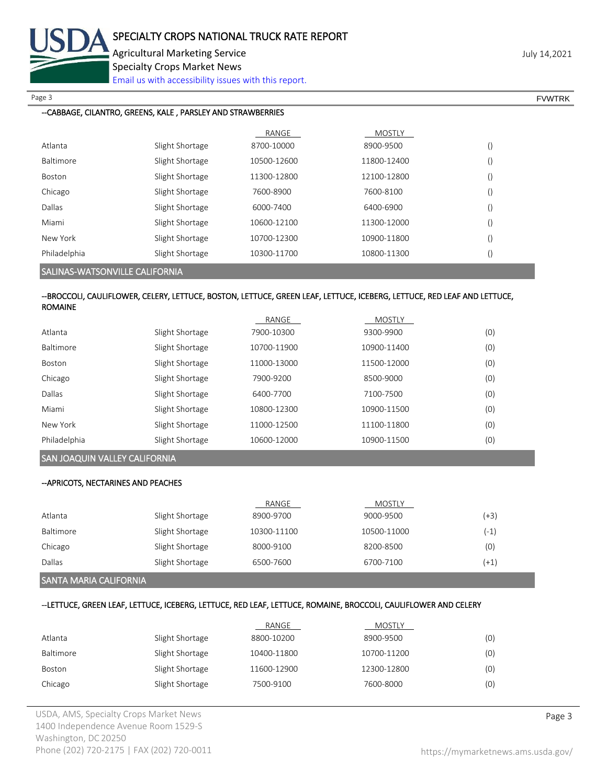

Page 3 FOUNTRK And the set of the set of the set of the set of the set of the set of the set of the set of the set of the set of the set of the set of the set of the set of the set of the set of the set of the set of the s

## --CABBAGE, CILANTRO, GREENS, KALE , PARSLEY AND STRAWBERRIES

|                  |                 | RANGE       | <b>MOSTLY</b> |                  |
|------------------|-----------------|-------------|---------------|------------------|
| Atlanta          | Slight Shortage | 8700-10000  | 8900-9500     | $\left( \right)$ |
| <b>Baltimore</b> | Slight Shortage | 10500-12600 | 11800-12400   | $\left( \right)$ |
| Boston           | Slight Shortage | 11300-12800 | 12100-12800   | $\left( \right)$ |
| Chicago          | Slight Shortage | 7600-8900   | 7600-8100     | $\left( \right)$ |
| Dallas           | Slight Shortage | 6000-7400   | 6400-6900     | $\left( \right)$ |
| Miami            | Slight Shortage | 10600-12100 | 11300-12000   | $\left( \right)$ |
| New York         | Slight Shortage | 10700-12300 | 10900-11800   | $\left( \right)$ |
| Philadelphia     | Slight Shortage | 10300-11700 | 10800-11300   | $\left( \right)$ |
|                  |                 |             |               |                  |

SALINAS-WATSONVILLE CALIFORNIA

### --BROCCOLI, CAULIFLOWER, CELERY, LETTUCE, BOSTON, LETTUCE, GREEN LEAF, LETTUCE, ICEBERG, LETTUCE, RED LEAF AND LETTUCE, ROMAINE

|                  |                 | RANGE       | <b>MOSTLY</b> |     |
|------------------|-----------------|-------------|---------------|-----|
| Atlanta          | Slight Shortage | 7900-10300  | 9300-9900     | (0) |
| <b>Baltimore</b> | Slight Shortage | 10700-11900 | 10900-11400   | (0) |
| <b>Boston</b>    | Slight Shortage | 11000-13000 | 11500-12000   | (0) |
| Chicago          | Slight Shortage | 7900-9200   | 8500-9000     | (0) |
| Dallas           | Slight Shortage | 6400-7700   | 7100-7500     | (0) |
| Miami            | Slight Shortage | 10800-12300 | 10900-11500   | (0) |
| New York         | Slight Shortage | 11000-12500 | 11100-11800   | (0) |
| Philadelphia     | Slight Shortage | 10600-12000 | 10900-11500   | (0) |

# SAN JOAQUIN VALLEY CALIFORNIA

## --APRICOTS, NECTARINES AND PEACHES

|           |                 | RANGE       | <b>MOSTLY</b> |        |
|-----------|-----------------|-------------|---------------|--------|
| Atlanta   | Slight Shortage | 8900-9700   | 9000-9500     | (+3)   |
| Baltimore | Slight Shortage | 10300-11100 | 10500-11000   | $(-1)$ |
| Chicago   | Slight Shortage | 8000-9100   | 8200-8500     | (0)    |
| Dallas    | Slight Shortage | 6500-7600   | 6700-7100     | 41     |
|           |                 |             |               |        |

## SANTA MARIA CALIFORNIA

# --LETTUCE, GREEN LEAF, LETTUCE, ICEBERG, LETTUCE, RED LEAF, LETTUCE, ROMAINE, BROCCOLI, CAULIFLOWER AND CELERY

|           |                 | RANGE       | <b>MOSTLY</b> |     |
|-----------|-----------------|-------------|---------------|-----|
| Atlanta   | Slight Shortage | 8800-10200  | 8900-9500     | (0) |
| Baltimore | Slight Shortage | 10400-11800 | 10700-11200   | (0) |
| Boston    | Slight Shortage | 11600-12900 | 12300-12800   | (0) |
| Chicago   | Slight Shortage | 7500-9100   | 7600-8000     | (0) |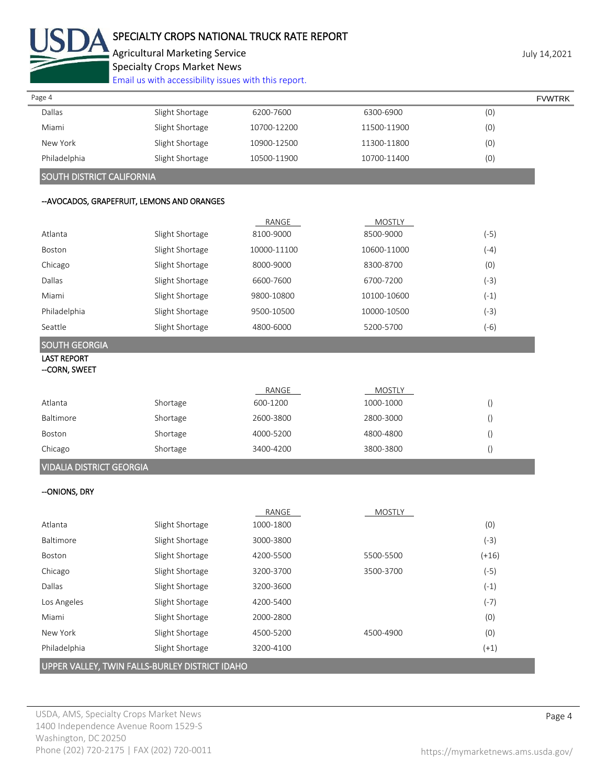

# SPECIALTY CROPS NATIONAL TRUCK RATE REPORT

Agricultural Marketing Service discussed by the University of the University of the University of the University Specialty Crops Market News

|                                 | Email us with accessibility issues with this report. |             |               |                  |               |
|---------------------------------|------------------------------------------------------|-------------|---------------|------------------|---------------|
| Page 4                          |                                                      |             |               |                  | <b>FVWTRK</b> |
| Dallas                          | Slight Shortage                                      | 6200-7600   | 6300-6900     | (0)              |               |
| Miami                           | Slight Shortage                                      | 10700-12200 | 11500-11900   | (0)              |               |
| New York                        | Slight Shortage                                      | 10900-12500 | 11300-11800   | (0)              |               |
| Philadelphia                    | Slight Shortage                                      | 10500-11900 | 10700-11400   | (0)              |               |
| SOUTH DISTRICT CALIFORNIA       |                                                      |             |               |                  |               |
|                                 | -- AVOCADOS, GRAPEFRUIT, LEMONS AND ORANGES          |             |               |                  |               |
|                                 |                                                      | RANGE       | <b>MOSTLY</b> |                  |               |
| Atlanta                         | Slight Shortage                                      | 8100-9000   | 8500-9000     | $(-5)$           |               |
| Boston                          | Slight Shortage                                      | 10000-11100 | 10600-11000   | $(-4)$           |               |
| Chicago                         | Slight Shortage                                      | 8000-9000   | 8300-8700     | (0)              |               |
| Dallas                          | Slight Shortage                                      | 6600-7600   | 6700-7200     | $(-3)$           |               |
| Miami                           | Slight Shortage                                      | 9800-10800  | 10100-10600   | $(-1)$           |               |
| Philadelphia                    | Slight Shortage                                      | 9500-10500  | 10000-10500   | $(-3)$           |               |
| Seattle                         | Slight Shortage                                      | 4800-6000   | 5200-5700     | $(-6)$           |               |
| <b>SOUTH GEORGIA</b>            |                                                      |             |               |                  |               |
| <b>LAST REPORT</b>              |                                                      |             |               |                  |               |
| -CORN, SWEET                    |                                                      |             |               |                  |               |
|                                 |                                                      | RANGE       | <b>MOSTLY</b> |                  |               |
| Atlanta                         | Shortage                                             | 600-1200    | 1000-1000     | $\left( \right)$ |               |
| Baltimore                       | Shortage                                             | 2600-3800   | 2800-3000     | $\left( \right)$ |               |
| Boston                          | Shortage                                             | 4000-5200   | 4800-4800     | $\left( \right)$ |               |
| Chicago                         | Shortage                                             | 3400-4200   | 3800-3800     | $\left( \right)$ |               |
| <b>VIDALIA DISTRICT GEORGIA</b> |                                                      |             |               |                  |               |
| -- ONIONS, DRY                  |                                                      |             |               |                  |               |
|                                 |                                                      | RANGE       | <b>MOSTLY</b> |                  |               |
| Atlanta                         | Slight Shortage                                      | 1000-1800   |               | (0)              |               |
| Baltimore                       | Slight Shortage                                      | 3000-3800   |               | $(-3)$           |               |
| Boston                          | Slight Shortage                                      | 4200-5500   | 5500-5500     | $(+16)$          |               |
| Chicago                         | Slight Shortage                                      | 3200-3700   | 3500-3700     | $(-5)$           |               |
| Dallas                          | Slight Shortage                                      | 3200-3600   |               | $(-1)$           |               |
| Los Angeles                     | Slight Shortage                                      | 4200-5400   |               | $(-7)$           |               |
| Miami                           | Slight Shortage                                      | 2000-2800   |               | (0)              |               |
| New York                        | Slight Shortage                                      | 4500-5200   | 4500-4900     | (0)              |               |
| Philadelphia                    | Slight Shortage                                      | 3200-4100   |               | $(+1)$           |               |

UPPER VALLEY, TWIN FALLS-BURLEY DISTRICT IDAHO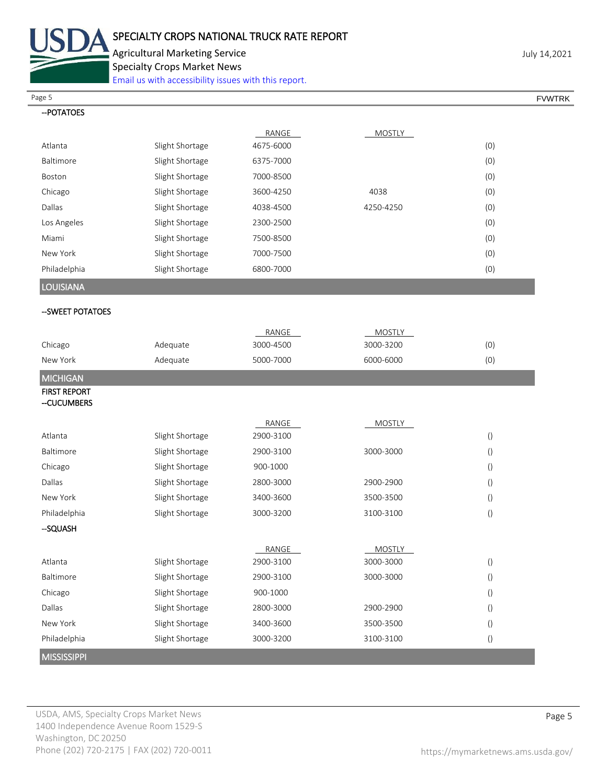

Agricultural Marketing Service **Agricultural Marketing Service** Agricultural Marketing Service Specialty Crops Market News

[Email us with accessibility issues with this report.](mailto:mars@ams.usda.gov?subject=508%20Inquiry/Report)

Page 5 FOUNTRK And the set of the set of the set of the set of the set of the set of the set of the set of the set of the set of the set of the set of the set of the set of the set of the set of the set of the set of the s

| -- POTATOES      |                 |           |           |     |
|------------------|-----------------|-----------|-----------|-----|
|                  |                 | RANGE     | MOSTLY    |     |
| Atlanta          | Slight Shortage | 4675-6000 |           | (0) |
| Baltimore        | Slight Shortage | 6375-7000 |           | (0) |
| Boston           | Slight Shortage | 7000-8500 |           | (0) |
| Chicago          | Slight Shortage | 3600-4250 | 4038      | (0) |
| Dallas           | Slight Shortage | 4038-4500 | 4250-4250 | (0) |
| Los Angeles      | Slight Shortage | 2300-2500 |           | (0) |
| Miami            | Slight Shortage | 7500-8500 |           | (0) |
| New York         | Slight Shortage | 7000-7500 |           | (0) |
| Philadelphia     | Slight Shortage | 6800-7000 |           | (0) |
| <b>LOUISIANA</b> |                 |           |           |     |
| -SWEET POTATOES  |                 |           |           |     |

|                     |                 | RANGE     | <b>MOSTLY</b> |                  |
|---------------------|-----------------|-----------|---------------|------------------|
| Chicago             | Adequate        | 3000-4500 | 3000-3200     | (0)              |
| New York            | Adequate        | 5000-7000 | 6000-6000     | (0)              |
| <b>MICHIGAN</b>     |                 |           |               |                  |
| <b>FIRST REPORT</b> |                 |           |               |                  |
| --CUCUMBERS         |                 |           |               |                  |
|                     |                 | RANGE     | <b>MOSTLY</b> |                  |
| Atlanta             | Slight Shortage | 2900-3100 |               | $\left(\right)$  |
| Baltimore           | Slight Shortage | 2900-3100 | 3000-3000     | $\left(\right)$  |
| Chicago             | Slight Shortage | 900-1000  |               | $\left( \right)$ |
| Dallas              | Slight Shortage | 2800-3000 | 2900-2900     | $\left(\right)$  |
| New York            | Slight Shortage | 3400-3600 | 3500-3500     | $\left( \right)$ |
| Philadelphia        | Slight Shortage | 3000-3200 | 3100-3100     | $\left(\right)$  |
| -SQUASH             |                 |           |               |                  |
|                     |                 | RANGE     | <b>MOSTLY</b> |                  |
| Atlanta             | Slight Shortage | 2900-3100 | 3000-3000     | $\left(\right)$  |
| Baltimore           | Slight Shortage | 2900-3100 | 3000-3000     | $\left(\right)$  |
| Chicago             | Slight Shortage | 900-1000  |               | $\left(\right)$  |
| Dallas              | Slight Shortage | 2800-3000 | 2900-2900     | $\left( \right)$ |
| New York            | Slight Shortage | 3400-3600 | 3500-3500     | $\left(\right)$  |
| Philadelphia        | Slight Shortage | 3000-3200 | 3100-3100     | $\left( \right)$ |
| <b>MISSISSIPPI</b>  |                 |           |               |                  |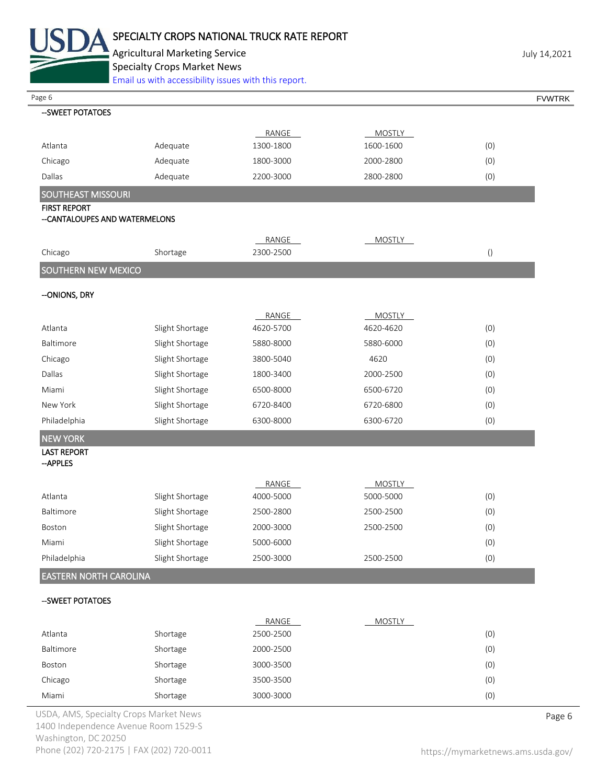

Agricultural Marketing Service discussed by the University of the University of the University of the University Specialty Crops Market News

[Email us with accessibility issues with this report.](mailto:mars@ams.usda.gov?subject=508%20Inquiry/Report)

| Page 6                                 | Effial us with accessibility issues with this report. |           |               |                  | <b>FVWTRK</b> |
|----------------------------------------|-------------------------------------------------------|-----------|---------------|------------------|---------------|
| -- SWEET POTATOES                      |                                                       |           |               |                  |               |
|                                        |                                                       | RANGE     | <b>MOSTLY</b> |                  |               |
| Atlanta                                | Adequate                                              | 1300-1800 | 1600-1600     | (0)              |               |
| Chicago                                | Adequate                                              | 1800-3000 | 2000-2800     | (0)              |               |
| Dallas                                 | Adequate                                              | 2200-3000 | 2800-2800     | (0)              |               |
| SOUTHEAST MISSOURI                     |                                                       |           |               |                  |               |
| <b>FIRST REPORT</b>                    |                                                       |           |               |                  |               |
| --CANTALOUPES AND WATERMELONS          |                                                       |           |               |                  |               |
|                                        |                                                       | RANGE     | <b>MOSTLY</b> |                  |               |
| Chicago                                | Shortage                                              | 2300-2500 |               | $\left( \right)$ |               |
| SOUTHERN NEW MEXICO                    |                                                       |           |               |                  |               |
|                                        |                                                       |           |               |                  |               |
| --ONIONS, DRY                          |                                                       |           |               |                  |               |
|                                        |                                                       | RANGE     | <b>MOSTLY</b> |                  |               |
| Atlanta                                | Slight Shortage                                       | 4620-5700 | 4620-4620     | (0)              |               |
| Baltimore                              | Slight Shortage                                       | 5880-8000 | 5880-6000     | (0)              |               |
| Chicago                                | Slight Shortage                                       | 3800-5040 | 4620          | (0)              |               |
| Dallas                                 | Slight Shortage                                       | 1800-3400 | 2000-2500     | (0)              |               |
| Miami                                  | Slight Shortage                                       | 6500-8000 | 6500-6720     | (0)              |               |
| New York                               | Slight Shortage                                       | 6720-8400 | 6720-6800     | (0)              |               |
| Philadelphia                           | Slight Shortage                                       | 6300-8000 | 6300-6720     | (0)              |               |
| <b>NEW YORK</b>                        |                                                       |           |               |                  |               |
| <b>LAST REPORT</b>                     |                                                       |           |               |                  |               |
| --APPLES                               |                                                       |           |               |                  |               |
|                                        |                                                       | RANGE     | <b>MOSTLY</b> |                  |               |
| Atlanta                                | Slight Shortage                                       | 4000-5000 | 5000-5000     | (0)              |               |
| Baltimore                              | Slight Shortage                                       | 2500-2800 | 2500-2500     | (0)              |               |
| <b>Boston</b>                          | Slight Shortage                                       | 2000-3000 | 2500-2500     | (0)              |               |
| Miami                                  | Slight Shortage                                       | 5000-6000 |               | (0)              |               |
| Philadelphia                           | Slight Shortage                                       | 2500-3000 | 2500-2500     | (0)              |               |
| <b>EASTERN NORTH CAROLINA</b>          |                                                       |           |               |                  |               |
| --SWEET POTATOES                       |                                                       |           |               |                  |               |
|                                        |                                                       |           |               |                  |               |
|                                        |                                                       | RANGE     | <b>MOSTLY</b> |                  |               |
| Atlanta                                | Shortage                                              | 2500-2500 |               | (0)              |               |
| Baltimore                              | Shortage                                              | 2000-2500 |               | (0)              |               |
| Boston                                 | Shortage                                              | 3000-3500 |               | (0)              |               |
| Chicago                                | Shortage                                              | 3500-3500 |               | (0)              |               |
| Miami                                  | Shortage                                              | 3000-3000 |               | (0)              |               |
| USDA, AMS, Specialty Crops Market News |                                                       |           |               |                  | Page 6        |

1400 Independence Avenue Room 1529-S Washington, DC 20250 Phone (202) 720-2175 | FAX (202) 720-0011 <https://mymarketnews.ams.usda.gov/>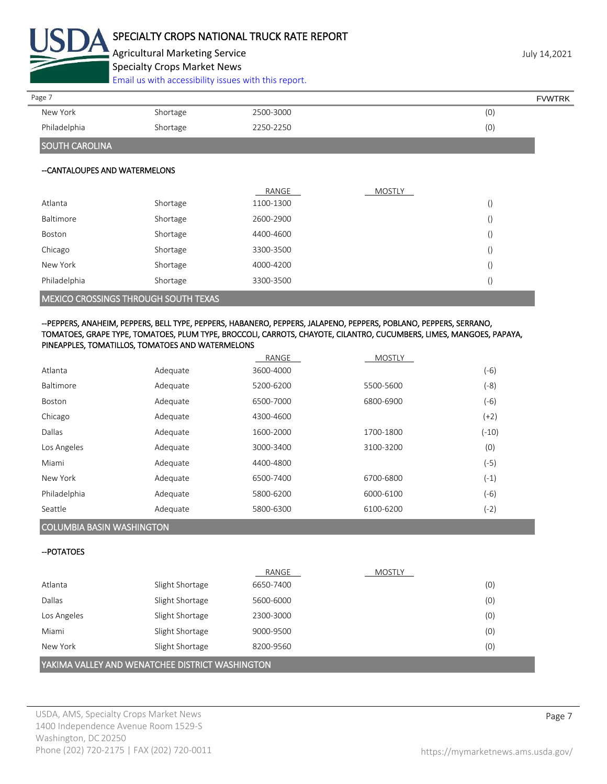

Agricultural Marketing Service **Agricultural Marketing Service** Agricultural Marketing Service Specialty Crops Market News

[Email us with accessibility issues with this report.](mailto:mars@ams.usda.gov?subject=508%20Inquiry/Report)

New York Shortage 2500-3000 (0) Philadelphia Shortage 2250-2250 (0) SOUTH CAROLINA Page 7 FOUNTRK And the set of the set of the set of the set of the set of the set of the set of the set of the set of the set of the set of the set of the set of the set of the set of the set of the set of the set of the s

## --CANTALOUPES AND WATERMELONS

|                                             |          | RANGE     | <b>MOSTLY</b> |                  |  |
|---------------------------------------------|----------|-----------|---------------|------------------|--|
| Atlanta                                     | Shortage | 1100-1300 |               | $\left( \right)$ |  |
| Baltimore                                   | Shortage | 2600-2900 |               |                  |  |
| Boston                                      | Shortage | 4400-4600 |               |                  |  |
| Chicago                                     | Shortage | 3300-3500 |               |                  |  |
| New York                                    | Shortage | 4000-4200 |               |                  |  |
| Philadelphia                                | Shortage | 3300-3500 |               |                  |  |
| <b>MEXICO CROSSINGS THROUGH SOUTH TEXAS</b> |          |           |               |                  |  |

## --PEPPERS, ANAHEIM, PEPPERS, BELL TYPE, PEPPERS, HABANERO, PEPPERS, JALAPENO, PEPPERS, POBLANO, PEPPERS, SERRANO, TOMATOES, GRAPE TYPE, TOMATOES, PLUM TYPE, BROCCOLI, CARROTS, CHAYOTE, CILANTRO, CUCUMBERS, LIMES, MANGOES, PAPAYA, PINEAPPLES, TOMATILLOS, TOMATOES AND WATERMELONS

|              |          | RANGE     | <b>MOSTLY</b> |         |
|--------------|----------|-----------|---------------|---------|
| Atlanta      | Adequate | 3600-4000 |               | $(-6)$  |
| Baltimore    | Adequate | 5200-6200 | 5500-5600     | $(-8)$  |
| Boston       | Adequate | 6500-7000 | 6800-6900     | $(-6)$  |
| Chicago      | Adequate | 4300-4600 |               | $(+2)$  |
| Dallas       | Adequate | 1600-2000 | 1700-1800     | $(-10)$ |
| Los Angeles  | Adequate | 3000-3400 | 3100-3200     | (0)     |
| Miami        | Adequate | 4400-4800 |               | $(-5)$  |
| New York     | Adequate | 6500-7400 | 6700-6800     | $(-1)$  |
| Philadelphia | Adequate | 5800-6200 | 6000-6100     | $(-6)$  |
| Seattle      | Adequate | 5800-6300 | 6100-6200     | $(-2)$  |

# COLUMBIA BASIN WASHINGTON

## --POTATOES

|                                                 |                 | RANGE     | <b>MOSTLY</b> |     |  |  |
|-------------------------------------------------|-----------------|-----------|---------------|-----|--|--|
| Atlanta                                         | Slight Shortage | 6650-7400 |               | (0) |  |  |
| Dallas                                          | Slight Shortage | 5600-6000 |               | (0) |  |  |
| Los Angeles                                     | Slight Shortage | 2300-3000 |               | (0) |  |  |
| Miami                                           | Slight Shortage | 9000-9500 |               | (0) |  |  |
| New York                                        | Slight Shortage | 8200-9560 |               | (0) |  |  |
| YAKIMA VALLEY AND WENATCHEE DISTRICT WASHINGTON |                 |           |               |     |  |  |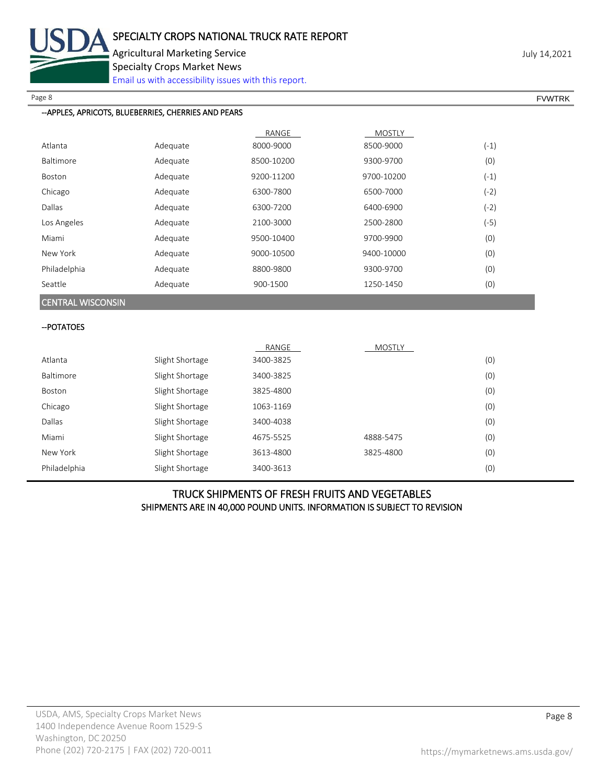

Agricultural Marketing Service **Agricultural Marketing Service** Agricultural Marketing Service

Specialty Crops Market News

[Email us with accessibility issues with this report.](mailto:mars@ams.usda.gov?subject=508%20Inquiry/Report)

## --APPLES, APRICOTS, BLUEBERRIES, CHERRIES AND PEARS

|                  |          | RANGE      | <b>MOSTLY</b> |        |
|------------------|----------|------------|---------------|--------|
| Atlanta          | Adequate | 8000-9000  | 8500-9000     | $(-1)$ |
| <b>Baltimore</b> | Adequate | 8500-10200 | 9300-9700     | (0)    |
| <b>Boston</b>    | Adequate | 9200-11200 | 9700-10200    | $(-1)$ |
| Chicago          | Adequate | 6300-7800  | 6500-7000     | $(-2)$ |
| Dallas           | Adequate | 6300-7200  | 6400-6900     | $(-2)$ |
| Los Angeles      | Adequate | 2100-3000  | 2500-2800     | $(-5)$ |
| Miami            | Adequate | 9500-10400 | 9700-9900     | (0)    |
| New York         | Adequate | 9000-10500 | 9400-10000    | (0)    |
| Philadelphia     | Adequate | 8800-9800  | 9300-9700     | (0)    |
| Seattle          | Adequate | 900-1500   | 1250-1450     | (0)    |

CENTRAL WISCONSIN

# --POTATOES

|                  |                 | RANGE     | <b>MOSTLY</b> |     |
|------------------|-----------------|-----------|---------------|-----|
| Atlanta          | Slight Shortage | 3400-3825 |               | (0) |
| <b>Baltimore</b> | Slight Shortage | 3400-3825 |               | (0) |
| Boston           | Slight Shortage | 3825-4800 |               | (0) |
| Chicago          | Slight Shortage | 1063-1169 |               | (0) |
| <b>Dallas</b>    | Slight Shortage | 3400-4038 |               | (0) |
| Miami            | Slight Shortage | 4675-5525 | 4888-5475     | (0) |
| New York         | Slight Shortage | 3613-4800 | 3825-4800     | (0) |
| Philadelphia     | Slight Shortage | 3400-3613 |               | (0) |

# TRUCK SHIPMENTS OF FRESH FRUITS AND VEGETABLES SHIPMENTS ARE IN 40,000 POUND UNITS. INFORMATION IS SUBJECT TO REVISION

Page 8 FOR THE SERVER SERVER SERVER SERVER SERVER SERVER SERVER SERVER SERVER SERVER SERVER SERVER SERVER SERVER SERVER SERVER SERVER SERVER SERVER SERVER SERVER SERVER SERVER SERVER SERVER SERVER SERVER SERVER SERVER SERV